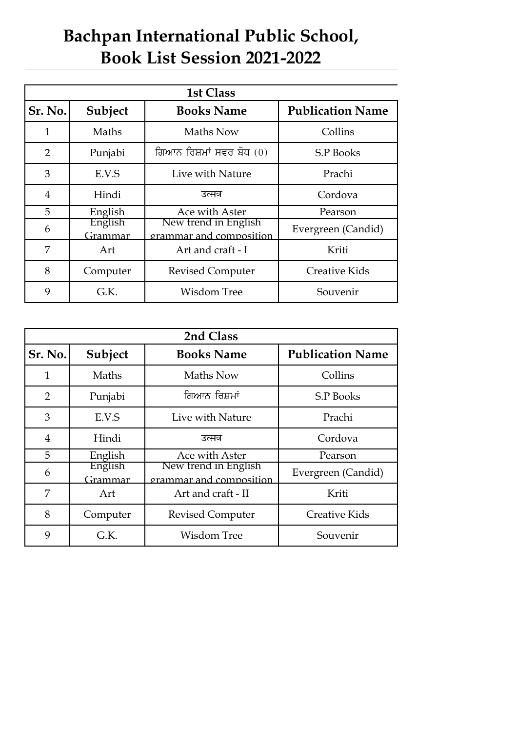## **Book List Session 2021-2022 Bachpan International Public School,**

| <b>1st Class</b> |                    |                                                 |                         |  |
|------------------|--------------------|-------------------------------------------------|-------------------------|--|
| Sr. No.          | Subject            | <b>Books Name</b>                               | <b>Publication Name</b> |  |
| $\mathbf{1}$     | Maths              | Maths Now                                       | Collins                 |  |
| 2                | Punjabi            | ਗਿਆਨ ਰਿਸ਼ਮਾਂ ਸਵਰ ਬੋਧ (0)                        | <b>S.P Books</b>        |  |
| 3                | E.V.S              | Live with Nature                                | Prachi                  |  |
| 4                | Hindi              | उत्सव                                           | Cordova                 |  |
| 5                | English            | Ace with Aster                                  | Pearson                 |  |
| 6                | English<br>Grammar | New trend in English<br>grammar and composition | Evergreen (Candid)      |  |
| 7                | Art                | Art and craft - I                               | Kriti                   |  |
| 8                | Computer           | <b>Revised Computer</b>                         | <b>Creative Kids</b>    |  |
| 9                | G.K.               | <b>Wisdom Tree</b>                              | Souvenir                |  |

| 2nd Class      |                    |                                                 |                         |  |
|----------------|--------------------|-------------------------------------------------|-------------------------|--|
| Sr. No.        | Subject            | <b>Books Name</b>                               | <b>Publication Name</b> |  |
| $\mathbf{1}$   | Maths              | Maths Now                                       | Collins                 |  |
| $\overline{2}$ | Punjabi            | ਗਿਆਨ ਰਿਸ਼ਮਾਂ                                    | <b>S.P Books</b>        |  |
| 3              | E.V.S              | Live with Nature                                | Prachi                  |  |
| 4              | Hindi              | उत्सव                                           | Cordova                 |  |
| 5              | English            | Ace with Aster                                  | Pearson                 |  |
| 6              | English<br>Grammar | New trend in English<br>grammar and composition | Evergreen (Candid)      |  |
| 7              | Art                | Art and craft - II                              | Kriti                   |  |
| 8              | Computer           | <b>Revised Computer</b>                         | <b>Creative Kids</b>    |  |
| 9              | G.K.               | <b>Wisdom Tree</b>                              | Souvenir                |  |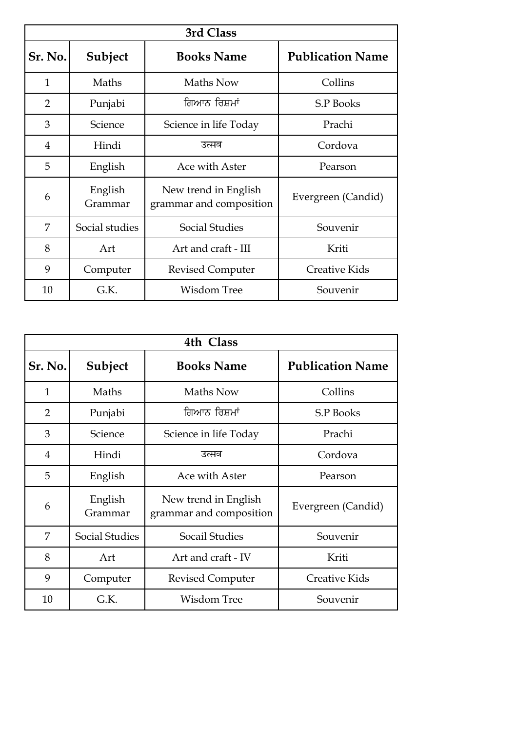| 3rd Class      |                    |                                                 |                         |  |
|----------------|--------------------|-------------------------------------------------|-------------------------|--|
| Sr. No.        | Subject            | <b>Books Name</b>                               | <b>Publication Name</b> |  |
| $\mathbf{1}$   | Maths              | Maths Now                                       | Collins                 |  |
| $\overline{2}$ | Punjabi            | ਗਿਆਨ ਰਿਸ਼ਮਾਂ                                    | S.P Books               |  |
| 3              | Science            | Science in life Today                           | Prachi                  |  |
| 4              | Hindi              | उत्सव                                           | Cordova                 |  |
| 5              | English            | Ace with Aster                                  | Pearson                 |  |
| 6              | English<br>Grammar | New trend in English<br>grammar and composition | Evergreen (Candid)      |  |
| 7              | Social studies     | <b>Social Studies</b>                           | Souvenir                |  |
| 8              | Art                | Art and craft - III                             | Kriti                   |  |
| 9              | Computer           | <b>Revised Computer</b>                         | <b>Creative Kids</b>    |  |
| 10             | G.K.               | <b>Wisdom Tree</b>                              | Souvenir                |  |

| 4th Class      |                       |                                                 |                         |  |
|----------------|-----------------------|-------------------------------------------------|-------------------------|--|
| Sr. No.        | Subject               | <b>Books Name</b>                               | <b>Publication Name</b> |  |
| $\mathbf{1}$   | Maths                 | Maths Now                                       | Collins                 |  |
| $\overline{2}$ | Punjabi               | ਗਿਆਨ ਰਿਸ਼ਮਾਂ                                    | <b>S.P Books</b>        |  |
| 3              | Science               | Science in life Today                           | Prachi                  |  |
| $\overline{4}$ | Hindi                 | उत्सव                                           | Cordova                 |  |
| 5              | English               | Ace with Aster                                  | Pearson                 |  |
| 6              | English<br>Grammar    | New trend in English<br>grammar and composition | Evergreen (Candid)      |  |
| 7              | <b>Social Studies</b> | Socail Studies                                  | Souvenir                |  |
| 8              | Art                   | Art and craft - IV                              | Kriti                   |  |
| 9              | Computer              | <b>Revised Computer</b>                         | <b>Creative Kids</b>    |  |
| 10             | G.K.                  | <b>Wisdom Tree</b>                              | Souvenir                |  |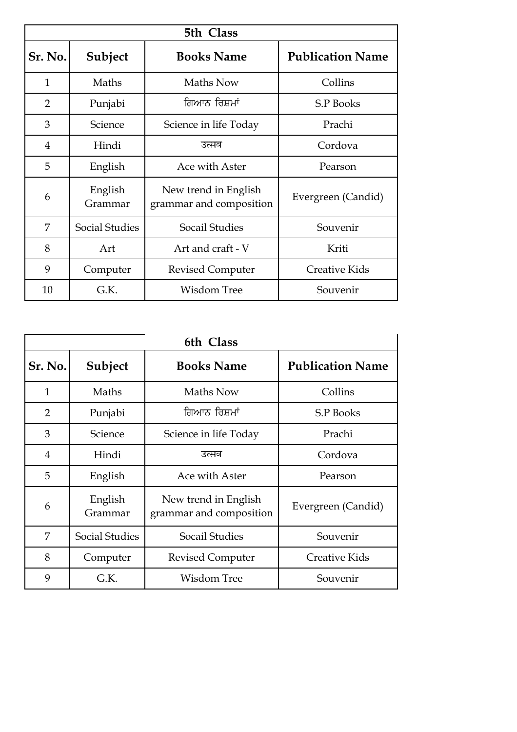| 5th Class      |                       |                                                 |                         |  |
|----------------|-----------------------|-------------------------------------------------|-------------------------|--|
| Sr. No.        | Subject               | <b>Books Name</b>                               | <b>Publication Name</b> |  |
| $\mathbf{1}$   | Maths                 | Maths Now                                       | Collins                 |  |
| $\overline{2}$ | Punjabi               | ਗਿਆਨ ਰਿਸ਼ਮਾਂ                                    | S.P Books               |  |
| 3              | Science               | Science in life Today                           | Prachi                  |  |
| 4              | Hindi                 | उत्सव                                           | Cordova                 |  |
| 5              | English               | Ace with Aster                                  | Pearson                 |  |
| 6              | English<br>Grammar    | New trend in English<br>grammar and composition | Evergreen (Candid)      |  |
| 7              | <b>Social Studies</b> | Socail Studies                                  | Souvenir                |  |
| 8              | Art                   | Art and craft - V                               | Kriti                   |  |
| 9              | Computer              | <b>Revised Computer</b>                         | <b>Creative Kids</b>    |  |
| 10             | G.K.                  | Wisdom Tree                                     | Souvenir                |  |

| 6th Class      |                       |                                                 |                         |  |
|----------------|-----------------------|-------------------------------------------------|-------------------------|--|
| Sr. No.        | Subject               | <b>Books Name</b>                               | <b>Publication Name</b> |  |
| $\mathbf{1}$   | Maths                 | Maths Now                                       | Collins                 |  |
| $\overline{2}$ | Punjabi               | ਗਿਆਨ ਰਿਸ਼ਮਾਂ                                    | <b>S.P Books</b>        |  |
| 3              | Science               | Science in life Today                           | Prachi                  |  |
| 4              | Hindi                 | उत्सव                                           | Cordova                 |  |
| 5              | English               | Ace with Aster                                  | Pearson                 |  |
| 6              | English<br>Grammar    | New trend in English<br>grammar and composition | Evergreen (Candid)      |  |
| 7              | <b>Social Studies</b> | <b>Socail Studies</b>                           | Souvenir                |  |
| 8              | Computer              | <b>Revised Computer</b>                         | <b>Creative Kids</b>    |  |
| 9              | G.K.                  | <b>Wisdom Tree</b>                              | Souvenir                |  |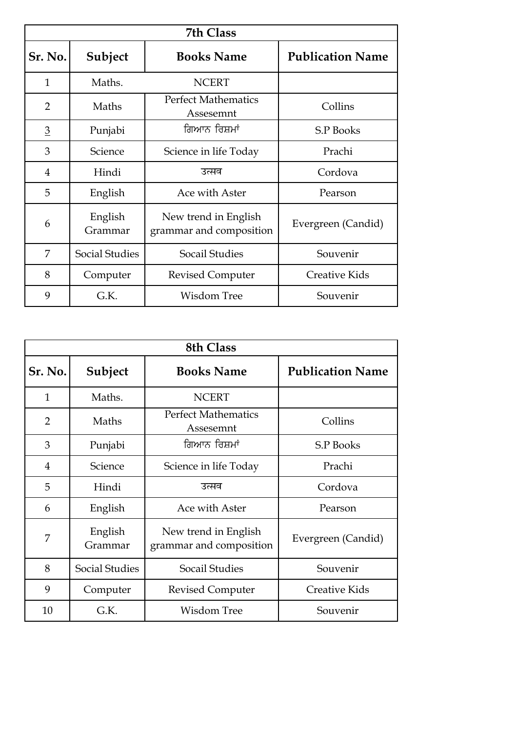| 7th Class      |                       |                                                 |                         |  |
|----------------|-----------------------|-------------------------------------------------|-------------------------|--|
| Sr. No.        | Subject               | <b>Books Name</b>                               | <b>Publication Name</b> |  |
| $\mathbf{1}$   | Maths.                | <b>NCERT</b>                                    |                         |  |
| 2              | Maths                 | <b>Perfect Mathematics</b><br>Assesemnt         | Collins                 |  |
| $\overline{3}$ | Punjabi               | ਗਿਆਨ ਰਿਸ਼ਮਾਂ                                    | <b>S.P Books</b>        |  |
| 3              | Science               | Science in life Today                           | Prachi                  |  |
| 4              | Hindi                 | उत्सव                                           | Cordova                 |  |
| 5              | English               | Ace with Aster                                  | Pearson                 |  |
| 6              | English<br>Grammar    | New trend in English<br>grammar and composition | Evergreen (Candid)      |  |
| 7              | <b>Social Studies</b> | Socail Studies                                  | Souvenir                |  |
| 8              | Computer              | <b>Revised Computer</b>                         | <b>Creative Kids</b>    |  |
| 9              | G.K.                  | <b>Wisdom Tree</b>                              | Souvenir                |  |

| <b>8th Class</b> |                       |                                                 |                         |  |
|------------------|-----------------------|-------------------------------------------------|-------------------------|--|
| Sr. No.          | Subject               | <b>Books Name</b>                               | <b>Publication Name</b> |  |
| $\mathbf{1}$     | Maths.                | <b>NCERT</b>                                    |                         |  |
| $\overline{2}$   | Maths                 | <b>Perfect Mathematics</b><br>Assesemnt         | Collins                 |  |
| 3                | Punjabi               | ਗਿਆਨ ਰਿਸ਼ਮਾਂ                                    | <b>S.P Books</b>        |  |
| 4                | Science               | Science in life Today                           | Prachi                  |  |
| 5                | Hindi                 | उत्सव                                           | Cordova                 |  |
| 6                | English               | Ace with Aster                                  | Pearson                 |  |
| 7                | English<br>Grammar    | New trend in English<br>grammar and composition | Evergreen (Candid)      |  |
| 8                | <b>Social Studies</b> | Socail Studies                                  | Souvenir                |  |
| 9                | Computer              | <b>Revised Computer</b>                         | <b>Creative Kids</b>    |  |
| 10               | G.K.                  | <b>Wisdom Tree</b>                              | Souvenir                |  |